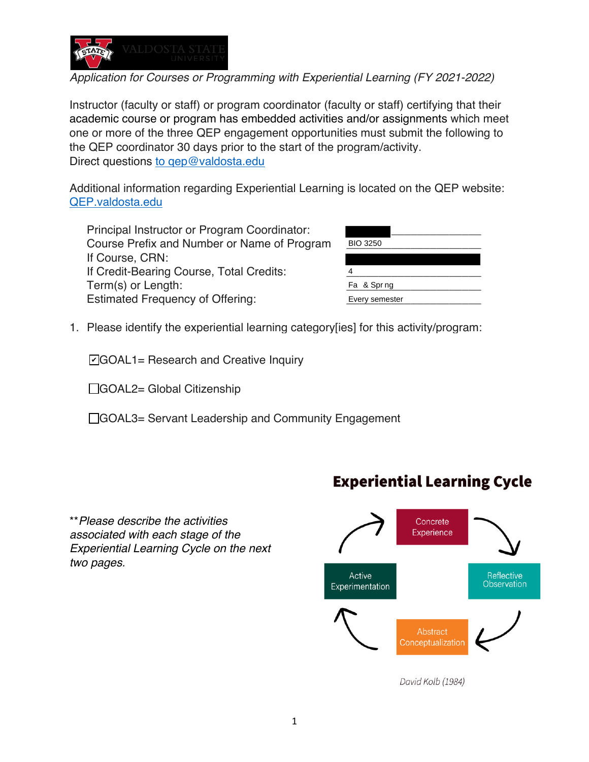

*Application for Courses or Programming with Experiential Learning (FY 2021-2022)*

Instructor (faculty or staff) or program coordinator (faculty or staff) certifying that their academic course or program has embedded activities and/or assignments which meet one or more of the three QEP engagement opportunities must submit the following to the QEP coordinator 30 days prior to the start of the program/activity. Direct questions to gep@valdosta.edu

Additional information regarding Experiential Learning is located on the QEP website: QEP.valdosta.edu

Principal Instructor or Program Coordinator: Course Prefix and Number or Name of Program If Course, CRN: If Credit-Bearing Course, Total Credits: Term(s) or Length: Estimated Frequency of Offering:

| <b>BIO 3250</b> |  |
|-----------------|--|
|                 |  |
|                 |  |
| Fa & Sprng      |  |
| Every semester  |  |

1. Please identify the experiential learning category[ies] for this activity/program:

**☑**GOAL1= Research and Creative Inquiry

□GOAL2= Global Citizenship

□GOAL3= Servant Leadership and Community Engagement

\*\**Please describe the activities associated with each stage of the Experiential Learning Cycle on the next two pages.* 

# **Experiential Learning Cycle**



David Kolb (1984)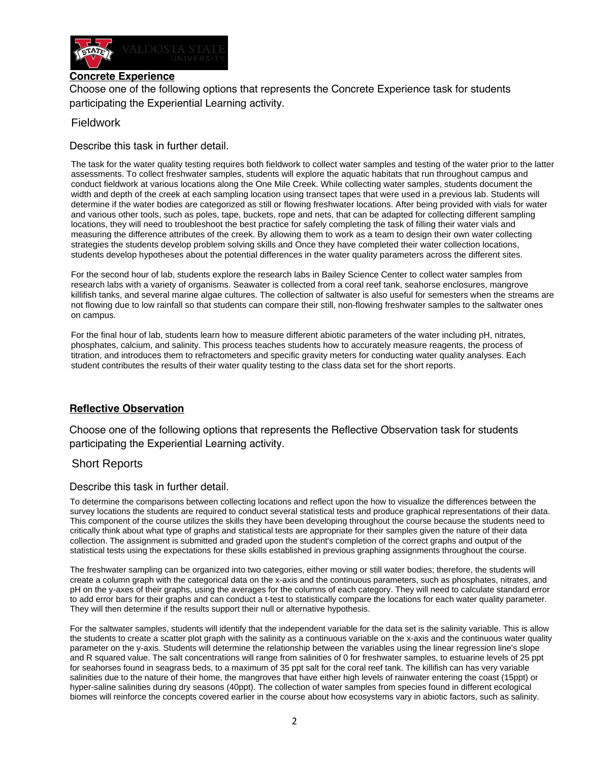

# **Concrete Experience**

Choose one of the following options that represents the Concrete Experience task for students participating the Experiential Learning activity.

### Fieldwork

Describe this task in further detail.

The task for the water quality testing requires both fieldwork to collect water samples and testing of the water prior to the latter assessments. To collect freshwater samples, students will explore the aquatic habitats that run throughout campus and conduct fieldwork at various locations along the One Mile Creek. While collecting water samples, students document the width and depth of the creek at each sampling location using transect tapes that were used in a previous lab. Students will determine if the water bodies are categorized as still or flowing freshwater locations. After being provided with vials for water and various other tools, such as poles, tape, buckets, rope and nets, that can be adapted for collecting different sampling locations, they will need to troubleshoot the best practice for safely completing the task of filling their water vials and measuring the difference attributes of the creek. By allowing them to work as a team to design their own water collecting strategies the students develop problem solving skills and Once they have completed their water collection locations, students develop hypotheses about the potential differences in the water quality parameters across the different sites.

For the second hour of lab, students explore the research labs in Bailey Science Center to collect water samples from research labs with a variety of organisms. Seawater is collected from a coral reef tank, seahorse enclosures, mangrove killifish tanks, and several marine algae cultures. The collection of saltwater is also useful for semesters when the streams are not flowing due to low rainfall so that students can compare their still, non-flowing freshwater samples to the saltwater ones on campus.

For the final hour of lab, students learn how to measure different abiotic parameters of the water including pH, nitrates, phosphates, calcium, and salinity. This process teaches students how to accurately measure reagents, the process of titration, and introduces them to refractometers and specific gravity meters for conducting water quality analyses. Each student contributes the results of their water quality testing to the class data set for the short reports.

# **Reflective Observation**

Choose one of the following options that represents the Reflective Observation task for students participating the Experiential Learning activity.

# Short Reports

#### Describe this task in further detail.

To determine the comparisons between collecting locations and reflect upon the how to visualize the differences between the survey locations the students are required to conduct several statistical tests and produce graphical representations of their data. This component of the course utilizes the skills they have been developing throughout the course because the students need to critically think about what type of graphs and statistical tests are appropriate for their samples given the nature of their data collection. The assignment is submitted and graded upon the student's completion of the correct graphs and output of the statistical tests using the expectations for these skills established in previous graphing assignments throughout the course.

The freshwater sampling can be organized into two categories, either moving or still water bodies; therefore, the students will create a column graph with the categorical data on the x-axis and the continuous parameters, such as phosphates, nitrates, and pH on the y-axes of their graphs, using the averages for the columns of each category. They will need to calculate standard error to add error bars for their graphs and can conduct a t-test to statistically compare the locations for each water quality parameter. They will then determine if the results support their null or alternative hypothesis.

For the saltwater samples, students will identify that the independent variable for the data set is the salinity variable. This is allow the students to create a scatter plot graph with the salinity as a continuous variable on the x-axis and the continuous water quality parameter on the y-axis. Students will determine the relationship between the variables using the linear regression line's slope and R squared value. The salt concentrations will range from salinities of 0 for freshwater samples, to estuarine levels of 25 ppt for seahorses found in seagrass beds, to a maximum of 35 ppt salt for the coral reef tank. The killifish can has very variable salinities due to the nature of their home, the mangroves that have either high levels of rainwater entering the coast (15ppt) or hyper-saline salinities during dry seasons (40ppt). The collection of water samples from species found in different ecological biomes will reinforce the concepts covered earlier in the course about how ecosystems vary in abiotic factors, such as salinity.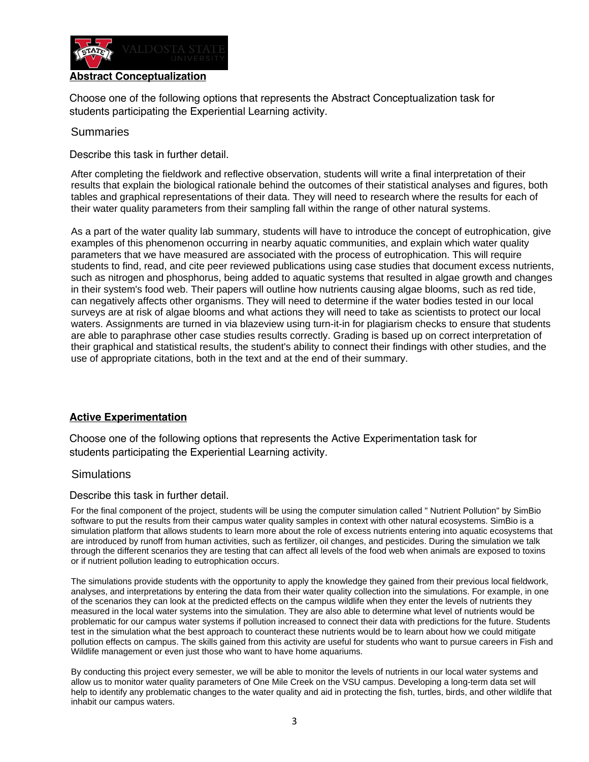

## **Abstract Conceptualization**

Choose one of the following options that represents the Abstract Conceptualization task for students participating the Experiential Learning activity.

#### **Summaries**

Describe this task in further detail.

After completing the fieldwork and reflective observation, students will write a final interpretation of their results that explain the biological rationale behind the outcomes of their statistical analyses and figures, both tables and graphical representations of their data. They will need to research where the results for each of their water quality parameters from their sampling fall within the range of other natural systems.

As a part of the water quality lab summary, students will have to introduce the concept of eutrophication, give examples of this phenomenon occurring in nearby aquatic communities, and explain which water quality parameters that we have measured are associated with the process of eutrophication. This will require students to find, read, and cite peer reviewed publications using case studies that document excess nutrients, such as nitrogen and phosphorus, being added to aquatic systems that resulted in algae growth and changes in their system's food web. Their papers will outline how nutrients causing algae blooms, such as red tide, can negatively affects other organisms. They will need to determine if the water bodies tested in our local surveys are at risk of algae blooms and what actions they will need to take as scientists to protect our local waters. Assignments are turned in via blazeview using turn-it-in for plagiarism checks to ensure that students are able to paraphrase other case studies results correctly. Grading is based up on correct interpretation of their graphical and statistical results, the student's ability to connect their findings with other studies, and the use of appropriate citations, both in the text and at the end of their summary.

#### **Active Experimentation**

Choose one of the following options that represents the Active Experimentation task for students participating the Experiential Learning activity.

### **Simulations**

Describe this task in further detail.

For the final component of the project, students will be using the computer simulation called " Nutrient Pollution" by SimBio software to put the results from their campus water quality samples in context with other natural ecosystems. SimBio is a simulation platform that allows students to learn more about the role of excess nutrients entering into aquatic ecosystems that are introduced by runoff from human activities, such as fertilizer, oil changes, and pesticides. During the simulation we talk through the different scenarios they are testing that can affect all levels of the food web when animals are exposed to toxins or if nutrient pollution leading to eutrophication occurs.

The simulations provide students with the opportunity to apply the knowledge they gained from their previous local fieldwork, analyses, and interpretations by entering the data from their water quality collection into the simulations. For example, in one of the scenarios they can look at the predicted effects on the campus wildlife when they enter the levels of nutrients they measured in the local water systems into the simulation. They are also able to determine what level of nutrients would be problematic for our campus water systems if pollution increased to connect their data with predictions for the future. Students test in the simulation what the best approach to counteract these nutrients would be to learn about how we could mitigate pollution effects on campus. The skills gained from this activity are useful for students who want to pursue careers in Fish and Wildlife management or even just those who want to have home aquariums.

By conducting this project every semester, we will be able to monitor the levels of nutrients in our local water systems and allow us to monitor water quality parameters of One Mile Creek on the VSU campus. Developing a long-term data set will help to identify any problematic changes to the water quality and aid in protecting the fish, turtles, birds, and other wildlife that inhabit our campus waters.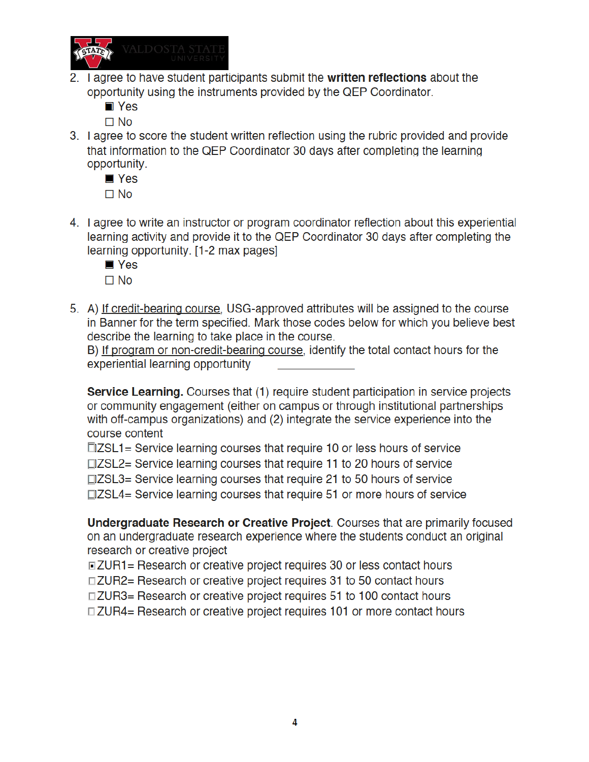

2. I agree to have student participants submit the written reflections about the opportunity using the instruments provided by the QEP Coordinator.

 $\blacksquare$  Yes

 $\square$  No

3. I agree to score the student written reflection using the rubric provided and provide that information to the QEP Coordinator 30 days after completing the learning opportunity.

 $\blacksquare$  Yes  $\Box$  No

- 4. I agree to write an instructor or program coordinator reflection about this experiential learning activity and provide it to the QEP Coordinator 30 days after completing the learning opportunity. [1-2 max pages]
	- $\blacksquare$  Yes
	- $\Box$  No
- 5. A) If credit-bearing course, USG-approved attributes will be assigned to the course in Banner for the term specified. Mark those codes below for which you believe best describe the learning to take place in the course.

B) If program or non-credit-bearing course, identify the total contact hours for the experiential learning opportunity

Service Learning. Courses that (1) require student participation in service projects or community engagement (either on campus or through institutional partnerships with off-campus organizations) and (2) integrate the service experience into the course content

□ZSL1= Service learning courses that require 10 or less hours of service  $\Box$ ZSL2= Service learning courses that require 11 to 20 hours of service  $\Box$ ZSL3= Service learning courses that require 21 to 50 hours of service  $\Box$ ZSL4= Service learning courses that require 51 or more hours of service

Undergraduate Research or Creative Project. Courses that are primarily focused on an undergraduate research experience where the students conduct an original research or creative project

□ZUR1= Research or creative project requires 30 or less contact hours

□ZUR2= Research or creative project requires 31 to 50 contact hours

□ZUR3= Research or creative project requires 51 to 100 contact hours

□ ZUR4= Research or creative project requires 101 or more contact hours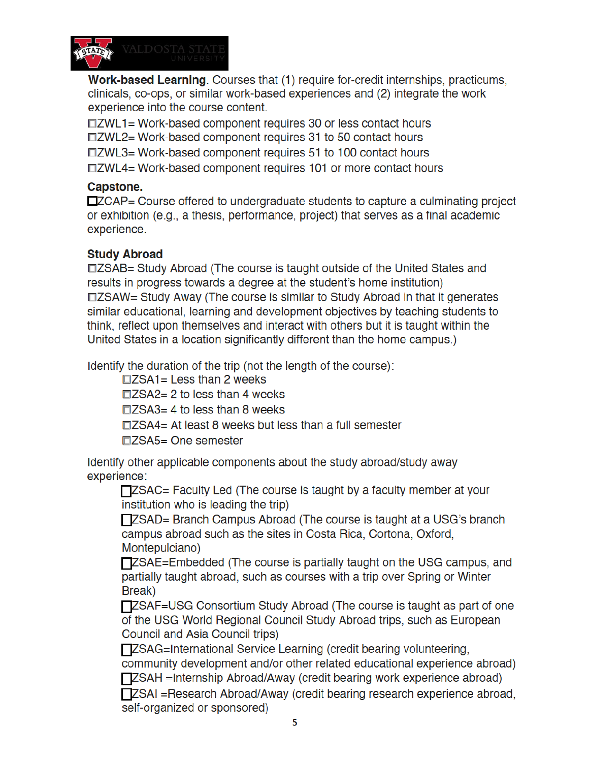

Work-based Learning. Courses that (1) require for-credit internships, practicums, clinicals, co-ops, or similar work-based experiences and (2) integrate the work experience into the course content.

□ZWL1= Work-based component requires 30 or less contact hours □ZWL2= Work-based component requires 31 to 50 contact hours □ZWL3= Work-based component requires 51 to 100 contact hours □ZWL4= Work-based component requires 101 or more contact hours

# Capstone.

□ZCAP= Course offered to undergraduate students to capture a culminating project or exhibition (e.g., a thesis, performance, project) that serves as a final academic experience.

# **Study Abroad**

□ZSAB= Study Abroad (The course is taught outside of the United States and results in progress towards a degree at the student's home institution) □ZSAW= Study Away (The course is similar to Study Abroad in that it generates similar educational, learning and development objectives by teaching students to think, reflect upon themselves and interact with others but it is taught within the United States in a location significantly different than the home campus.)

Identify the duration of the trip (not the length of the course):

 $\Box ZSA1 =$  Less than 2 weeks

 $\Box$ ZSA2= 2 to less than 4 weeks

 $\Box$ ZSA3= 4 to less than 8 weeks

□ZSA4= At least 8 weeks but less than a full semester

□ZSA5= One semester

Identify other applicable components about the study abroad/study away experience:

□ ZSAC= Faculty Led (The course is taught by a faculty member at your institution who is leading the trip)

TZSAD= Branch Campus Abroad (The course is taught at a USG's branch campus abroad such as the sites in Costa Rica, Cortona, Oxford, Montepulciano)

**TZSAE=Embedded (The course is partially taught on the USG campus, and** partially taught abroad, such as courses with a trip over Spring or Winter Break)

**TZSAF**=USG Consortium Study Abroad (The course is taught as part of one of the USG World Regional Council Study Abroad trips, such as European Council and Asia Council trips)

**TZSAG=International Service Learning (credit bearing volunteering,** community development and/or other related educational experience abroad) **TZSAH** = Internship Abroad/Away (credit bearing work experience abroad)

**TZSAI** = Research Abroad/Away (credit bearing research experience abroad, self-organized or sponsored)